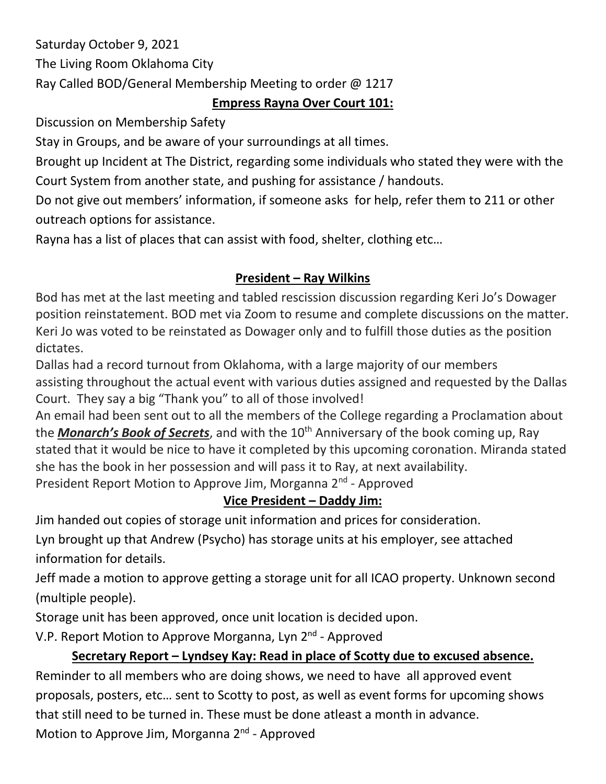Saturday October 9, 2021 The Living Room Oklahoma City Ray Called BOD/General Membership Meeting to order @ 1217

### **Empress Rayna Over Court 101:**

Discussion on Membership Safety

Stay in Groups, and be aware of your surroundings at all times.

Brought up Incident at The District, regarding some individuals who stated they were with the Court System from another state, and pushing for assistance / handouts.

Do not give out members' information, if someone asks for help, refer them to 211 or other outreach options for assistance.

Rayna has a list of places that can assist with food, shelter, clothing etc…

## **President – Ray Wilkins**

Bod has met at the last meeting and tabled rescission discussion regarding Keri Jo's Dowager position reinstatement. BOD met via Zoom to resume and complete discussions on the matter. Keri Jo was voted to be reinstated as Dowager only and to fulfill those duties as the position dictates.

Dallas had a record turnout from Oklahoma, with a large majority of our members assisting throughout the actual event with various duties assigned and requested by the Dallas Court. They say a big "Thank you" to all of those involved!

An email had been sent out to all the members of the College regarding a Proclamation about the **Monarch's Book of Secrets**, and with the 10<sup>th</sup> Anniversary of the book coming up, Ray stated that it would be nice to have it completed by this upcoming coronation. Miranda stated she has the book in her possession and will pass it to Ray, at next availability.

President Report Motion to Approve Jim, Morganna 2<sup>nd</sup> - Approved

# **Vice President – Daddy Jim:**

Jim handed out copies of storage unit information and prices for consideration.

Lyn brought up that Andrew (Psycho) has storage units at his employer, see attached information for details.

Jeff made a motion to approve getting a storage unit for all ICAO property. Unknown second (multiple people).

Storage unit has been approved, once unit location is decided upon.

V.P. Report Motion to Approve Morganna, Lyn 2<sup>nd</sup> - Approved

## **Secretary Report – Lyndsey Kay: Read in place of Scotty due to excused absence.**

Reminder to all members who are doing shows, we need to have all approved event proposals, posters, etc… sent to Scotty to post, as well as event forms for upcoming shows that still need to be turned in. These must be done atleast a month in advance. Motion to Approve Jim, Morganna 2<sup>nd</sup> - Approved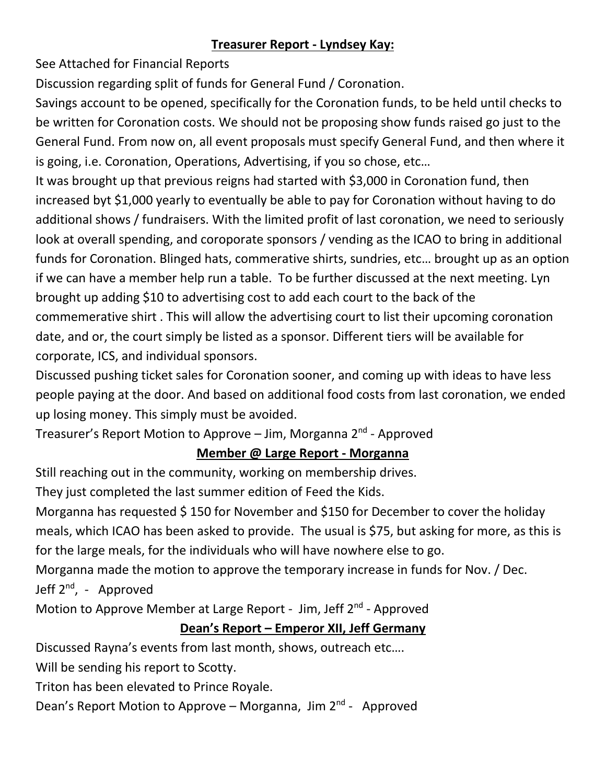#### **Treasurer Report - Lyndsey Kay:**

See Attached for Financial Reports

Discussion regarding split of funds for General Fund / Coronation.

Savings account to be opened, specifically for the Coronation funds, to be held until checks to be written for Coronation costs. We should not be proposing show funds raised go just to the General Fund. From now on, all event proposals must specify General Fund, and then where it is going, i.e. Coronation, Operations, Advertising, if you so chose, etc…

It was brought up that previous reigns had started with \$3,000 in Coronation fund, then increased byt \$1,000 yearly to eventually be able to pay for Coronation without having to do additional shows / fundraisers. With the limited profit of last coronation, we need to seriously look at overall spending, and coroporate sponsors / vending as the ICAO to bring in additional funds for Coronation. Blinged hats, commerative shirts, sundries, etc… brought up as an option if we can have a member help run a table. To be further discussed at the next meeting. Lyn brought up adding \$10 to advertising cost to add each court to the back of the commemerative shirt . This will allow the advertising court to list their upcoming coronation date, and or, the court simply be listed as a sponsor. Different tiers will be available for corporate, ICS, and individual sponsors.

Discussed pushing ticket sales for Coronation sooner, and coming up with ideas to have less people paying at the door. And based on additional food costs from last coronation, we ended up losing money. This simply must be avoided.

Treasurer's Report Motion to Approve – Jim, Morganna 2<sup>nd</sup> - Approved

#### **Member @ Large Report - Morganna**

Still reaching out in the community, working on membership drives.

They just completed the last summer edition of Feed the Kids.

Morganna has requested \$ 150 for November and \$150 for December to cover the holiday meals, which ICAO has been asked to provide. The usual is \$75, but asking for more, as this is for the large meals, for the individuals who will have nowhere else to go.

Morganna made the motion to approve the temporary increase in funds for Nov. / Dec. Jeff 2<sup>nd</sup>, - Approved

Motion to Approve Member at Large Report - Jim, Jeff 2<sup>nd</sup> - Approved

## **Dean's Report – Emperor XII, Jeff Germany**

Discussed Rayna's events from last month, shows, outreach etc….

Will be sending his report to Scotty.

Triton has been elevated to Prince Royale.

Dean's Report Motion to Approve – Morganna, Jim 2<sup>nd</sup> - Approved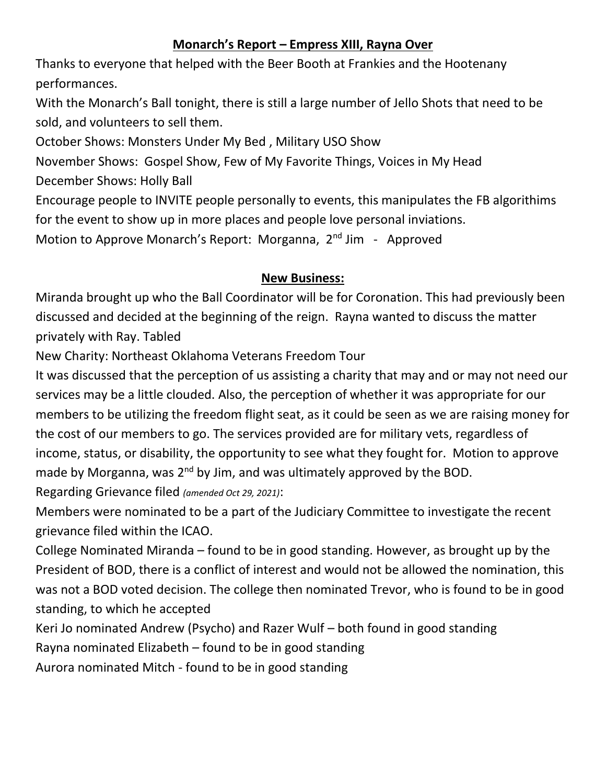#### **Monarch's Report – Empress XIII, Rayna Over**

Thanks to everyone that helped with the Beer Booth at Frankies and the Hootenany performances.

With the Monarch's Ball tonight, there is still a large number of Jello Shots that need to be sold, and volunteers to sell them.

October Shows: Monsters Under My Bed , Military USO Show

November Shows: Gospel Show, Few of My Favorite Things, Voices in My Head

December Shows: Holly Ball

Encourage people to INVITE people personally to events, this manipulates the FB algorithims for the event to show up in more places and people love personal inviations.

Motion to Approve Monarch's Report: Morganna, 2<sup>nd</sup> Jim - Approved

#### **New Business:**

Miranda brought up who the Ball Coordinator will be for Coronation. This had previously been discussed and decided at the beginning of the reign. Rayna wanted to discuss the matter privately with Ray. Tabled

New Charity: Northeast Oklahoma Veterans Freedom Tour

It was discussed that the perception of us assisting a charity that may and or may not need our services may be a little clouded. Also, the perception of whether it was appropriate for our members to be utilizing the freedom flight seat, as it could be seen as we are raising money for the cost of our members to go. The services provided are for military vets, regardless of income, status, or disability, the opportunity to see what they fought for. Motion to approve made by Morganna, was  $2^{nd}$  by Jim, and was ultimately approved by the BOD.

Regarding Grievance filed *(amended Oct 29, 2021)*:

Members were nominated to be a part of the Judiciary Committee to investigate the recent grievance filed within the ICAO.

College Nominated Miranda – found to be in good standing. However, as brought up by the President of BOD, there is a conflict of interest and would not be allowed the nomination, this was not a BOD voted decision. The college then nominated Trevor, who is found to be in good standing, to which he accepted

Keri Jo nominated Andrew (Psycho) and Razer Wulf – both found in good standing

Rayna nominated Elizabeth – found to be in good standing

Aurora nominated Mitch - found to be in good standing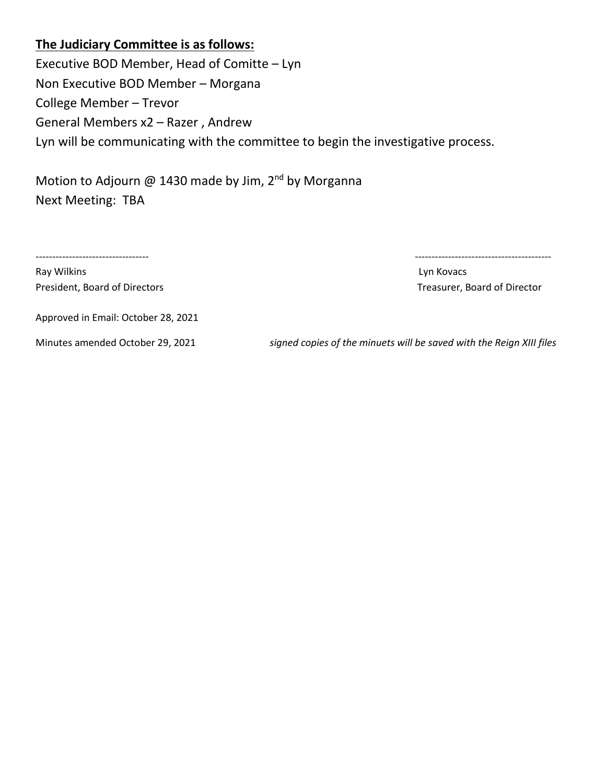#### **The Judiciary Committee is as follows:**

Executive BOD Member, Head of Comitte – Lyn Non Executive BOD Member – Morgana College Member – Trevor General Members x2 – Razer , Andrew Lyn will be communicating with the committee to begin the investigative process.

Motion to Adjourn @ 1430 made by Jim,  $2^{nd}$  by Morganna Next Meeting: TBA

Ray Wilkins **Ray Wilkins** 2008 - 2008 - 2009 - 2009 - 2009 - 2009 - 2009 - 2009 - 2009 - 2009 - 2009 - 2009 - 200 President, Board of Directors **Treasurer**, Board of Director

---------------------------------- -----------------------------------------

Approved in Email: October 28, 2021

Minutes amended October 29, 2021 *signed copies of the minuets will be saved with the Reign XIII files*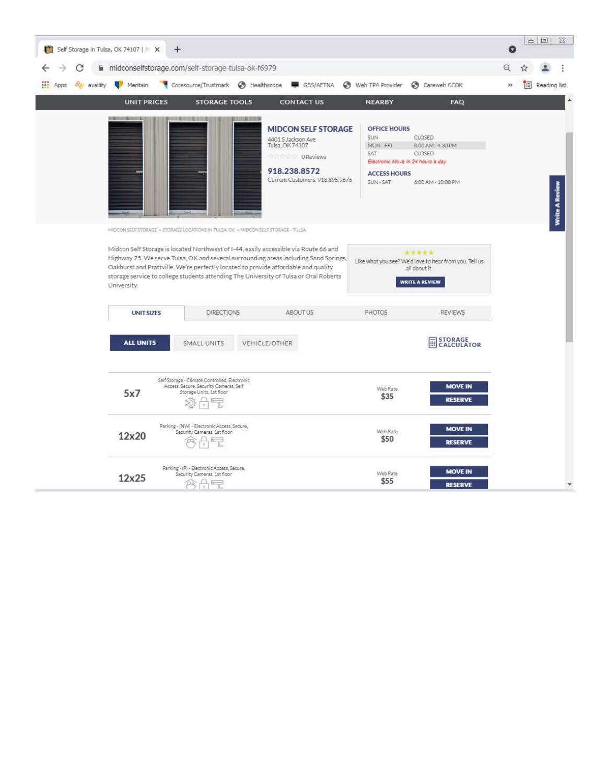|                     | Self Storage in Tulsa, OK 74107   M X<br>÷.       |                                                                                                                                                                                                                                                                                                                                                                                                                                                    |                                                                                                                                     |                                                                                                                              |                                                                                                           | $\Box$<br>$\Sigma$<br>O    |
|---------------------|---------------------------------------------------|----------------------------------------------------------------------------------------------------------------------------------------------------------------------------------------------------------------------------------------------------------------------------------------------------------------------------------------------------------------------------------------------------------------------------------------------------|-------------------------------------------------------------------------------------------------------------------------------------|------------------------------------------------------------------------------------------------------------------------------|-----------------------------------------------------------------------------------------------------------|----------------------------|
| C                   | midconselfstorage.com/self-storage-tulsa-ok-f6979 |                                                                                                                                                                                                                                                                                                                                                                                                                                                    |                                                                                                                                     |                                                                                                                              |                                                                                                           | Q                          |
| by availity<br>Apps | Meritain<br>ч.                                    |                                                                                                                                                                                                                                                                                                                                                                                                                                                    |                                                                                                                                     | Web TPA Provider                                                                                                             | Careweb CCOK                                                                                              | $\gg$<br>闺<br>Reading list |
|                     | <b>UNIT PRICES</b>                                | <b>STORAGE TOOLS</b>                                                                                                                                                                                                                                                                                                                                                                                                                               | <b>CONTACT US</b>                                                                                                                   | <b>NEARBY</b>                                                                                                                | FAQ                                                                                                       |                            |
|                     | 日本 19 10 10 10 10 11 12                           |                                                                                                                                                                                                                                                                                                                                                                                                                                                    | <b>MIDCON SELF STORAGE</b><br>4401 S Jackson Ave<br>Tulsa, OK 74107<br>O Reviews<br>918.238.8572<br>Current Customers: 918.895.9675 | <b>OFFICE HOURS</b><br><b>SUN</b><br>MON-FRI<br>SAT<br>Electronic Move In 24 hours a day<br><b>ACCESS HOURS</b><br>SUN - SAT | CLOSED<br>8:00 AM - 4:30 PM<br>CLOSED<br>6:00 AM - 10:00 PM                                               | Write A Review             |
|                     | University.                                       | MIDCON SELF STORAGE > STORAGE LOCATIONS IN TULSA, OIL > MIDCON SELF STORAGE - TULSA<br>Midcon Self Storage is located Northwest of I-44, easily accessible via Route 66 and<br>Highway 75. We serve Tulsa, OK and several surrounding areas including Sand Springs,<br>Oakhurst and Prattville. We're perfectly located to provide affordable and quality<br>storage service to college students attending The University of Tulsa or Oral Roberts |                                                                                                                                     |                                                                                                                              | *****<br>Like what you see? We'd love to hear from you. Tell us<br>all about it.<br><b>WRITE A REVIEW</b> |                            |
|                     | <b>UNIT SIZES</b>                                 | <b>DIRECTIONS</b>                                                                                                                                                                                                                                                                                                                                                                                                                                  | ABOUT US.                                                                                                                           | <b>PHOTOS</b>                                                                                                                | <b>REVIEWS</b>                                                                                            |                            |
|                     | <b>ALL UNITS</b>                                  | SMALL UNITS                                                                                                                                                                                                                                                                                                                                                                                                                                        | <b>VEHICLE/OTHER</b>                                                                                                                |                                                                                                                              | STORAGE<br>CALCULATOR<br>m                                                                                |                            |
|                     | 5x7                                               | Self Storage - Climate Controlled, Electronic<br>Access, Secure, Security Cameras, Self<br>Storage Units, 1st floor                                                                                                                                                                                                                                                                                                                                |                                                                                                                                     | Web Rate<br>\$35                                                                                                             | <b>MOVE IN</b><br><b>RESERVE</b>                                                                          |                            |
|                     | 12x20                                             | Parking - (NW) - Electronic Access, Secure,<br>Security Cameras, 1st floor                                                                                                                                                                                                                                                                                                                                                                         |                                                                                                                                     | Web Rate<br>\$50                                                                                                             | <b>MOVE IN</b><br><b>RESERVE</b>                                                                          |                            |
|                     | 12x25                                             | Parking - (P) - Electronic Access, Secure,<br>Security Cameras, 1st floor<br>AF                                                                                                                                                                                                                                                                                                                                                                    |                                                                                                                                     | Web Rate<br>\$55                                                                                                             | <b>MOVE IN</b><br><b>RESERVE</b>                                                                          |                            |